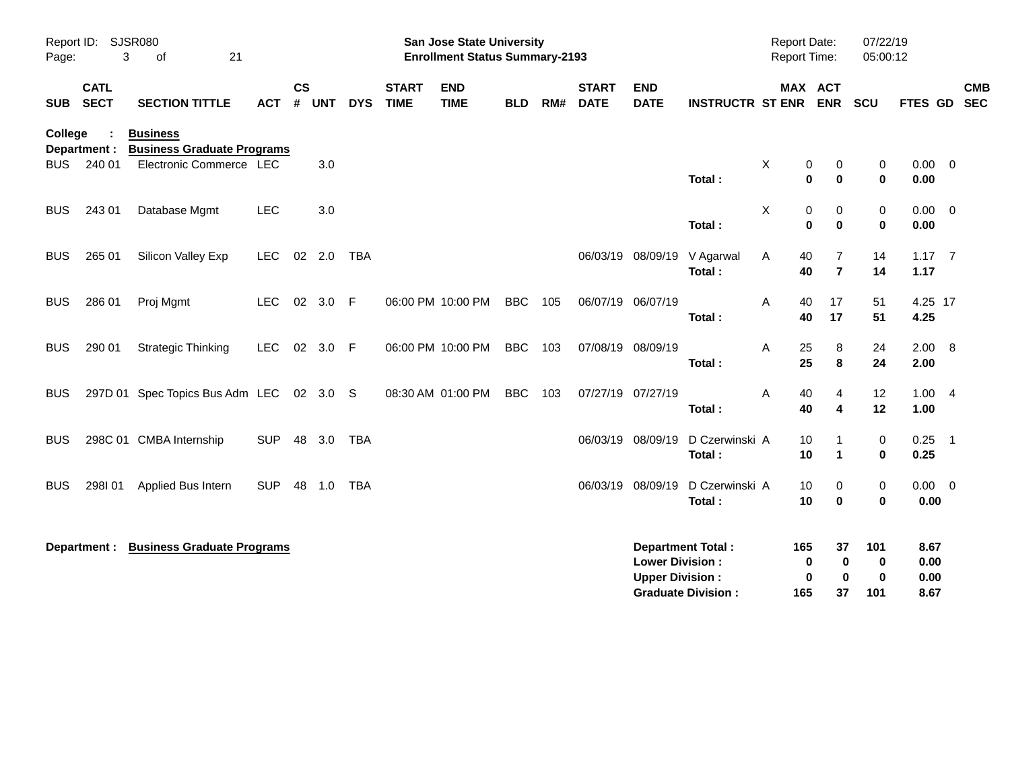| Page:      | Report ID: SJSR080<br>3    | 21<br>of                                             |            |                    |            |            |                             | <b>San Jose State University</b><br><b>Enrollment Status Summary-2193</b> |            |     |                             |                                                  |                                                       | <b>Report Date:</b><br><b>Report Time:</b> |                      |                              | 07/22/19<br>05:00:12        |                              |            |
|------------|----------------------------|------------------------------------------------------|------------|--------------------|------------|------------|-----------------------------|---------------------------------------------------------------------------|------------|-----|-----------------------------|--------------------------------------------------|-------------------------------------------------------|--------------------------------------------|----------------------|------------------------------|-----------------------------|------------------------------|------------|
| <b>SUB</b> | <b>CATL</b><br><b>SECT</b> | <b>SECTION TITTLE</b>                                | <b>ACT</b> | $\mathsf{cs}$<br># | <b>UNT</b> | <b>DYS</b> | <b>START</b><br><b>TIME</b> | <b>END</b><br><b>TIME</b>                                                 | <b>BLD</b> | RM# | <b>START</b><br><b>DATE</b> | <b>END</b><br><b>DATE</b>                        | <b>INSTRUCTR ST ENR</b>                               |                                            | MAX ACT              | <b>ENR</b>                   | SCU                         | FTES GD SEC                  | <b>CMB</b> |
| College    | Department :               | <b>Business</b><br><b>Business Graduate Programs</b> |            |                    |            |            |                             |                                                                           |            |     |                             |                                                  |                                                       |                                            |                      |                              |                             |                              |            |
| BUS        | 240 01                     | Electronic Commerce LEC                              |            |                    | 3.0        |            |                             |                                                                           |            |     |                             |                                                  | Total:                                                | X                                          | 0<br>0               | 0<br>$\mathbf{0}$            | 0<br>$\bf{0}$               | $0.00 \t 0$<br>0.00          |            |
| <b>BUS</b> | 243 01                     | Database Mgmt                                        | LEC        |                    | 3.0        |            |                             |                                                                           |            |     |                             |                                                  | Total:                                                | X                                          | 0<br>0               | 0<br>$\bf{0}$                | 0<br>$\bf{0}$               | $0.00 \t 0$<br>0.00          |            |
| <b>BUS</b> | 265 01                     | Silicon Valley Exp                                   | <b>LEC</b> |                    | 02 2.0     | TBA        |                             |                                                                           |            |     |                             | 06/03/19 08/09/19                                | V Agarwal<br>Total:                                   | Α                                          | 40<br>40             | 7<br>$\overline{7}$          | 14<br>14                    | $1.17 \quad 7$<br>1.17       |            |
| <b>BUS</b> | 286 01                     | Proj Mgmt                                            | <b>LEC</b> |                    | 02 3.0     | - F        |                             | 06:00 PM 10:00 PM                                                         | <b>BBC</b> | 105 |                             | 06/07/19 06/07/19                                | Total:                                                | Α                                          | 40<br>40             | 17<br>17                     | 51<br>51                    | 4.25 17<br>4.25              |            |
| <b>BUS</b> | 290 01                     | <b>Strategic Thinking</b>                            | <b>LEC</b> |                    | 02 3.0 F   |            |                             | 06:00 PM 10:00 PM                                                         | <b>BBC</b> | 103 |                             | 07/08/19 08/09/19                                | Total:                                                | Α                                          | 25<br>25             | 8<br>8                       | 24<br>24                    | 2.00 8<br>2.00               |            |
| <b>BUS</b> |                            | 297D 01 Spec Topics Bus Adm LEC 02 3.0 S             |            |                    |            |            |                             | 08:30 AM 01:00 PM                                                         | <b>BBC</b> | 103 |                             | 07/27/19 07/27/19                                | Total:                                                | Α                                          | 40<br>40             | 4<br>$\overline{\mathbf{4}}$ | 12<br>12                    | 1.004<br>1.00                |            |
| <b>BUS</b> |                            | 298C 01 CMBA Internship                              | <b>SUP</b> | 48                 | 3.0        | <b>TBA</b> |                             |                                                                           |            |     |                             | 06/03/19 08/09/19                                | D Czerwinski A<br>Total:                              |                                            | 10<br>10             | -1<br>$\blacktriangleleft$   | $\mathbf 0$<br>$\bf{0}$     | $0.25$ 1<br>0.25             |            |
| <b>BUS</b> | 298101                     | Applied Bus Intern                                   | <b>SUP</b> | 48                 | 1.0        | <b>TBA</b> |                             |                                                                           |            |     |                             | 06/03/19 08/09/19                                | D Czerwinski A<br>Total:                              |                                            | 10<br>10             | 0<br>$\bf{0}$                | $\mathbf 0$<br>$\bf{0}$     | $0.00 \t 0$<br>0.00          |            |
|            | Department :               | <b>Business Graduate Programs</b>                    |            |                    |            |            |                             |                                                                           |            |     |                             | <b>Lower Division:</b><br><b>Upper Division:</b> | <b>Department Total:</b><br><b>Graduate Division:</b> |                                            | 165<br>0<br>0<br>165 | 37<br>0<br>$\bf{0}$<br>37    | 101<br>0<br>$\bf{0}$<br>101 | 8.67<br>0.00<br>0.00<br>8.67 |            |